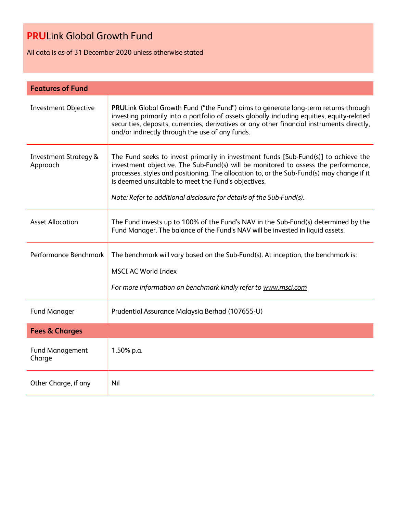All data is as of 31 December 2020 unless otherwise stated

| <b>Features of Fund</b>                      |                                                                                                                                                                                                                                                                                                                                                                                                       |  |  |
|----------------------------------------------|-------------------------------------------------------------------------------------------------------------------------------------------------------------------------------------------------------------------------------------------------------------------------------------------------------------------------------------------------------------------------------------------------------|--|--|
| <b>Investment Objective</b>                  | PRULink Global Growth Fund ("the Fund") aims to generate long-term returns through<br>investing primarily into a portfolio of assets globally including equities, equity-related<br>securities, deposits, currencies, derivatives or any other financial instruments directly,<br>and/or indirectly through the use of any funds.                                                                     |  |  |
| <b>Investment Strategy &amp;</b><br>Approach | The Fund seeks to invest primarily in investment funds [Sub-Fund(s)] to achieve the<br>investment objective. The Sub-Fund(s) will be monitored to assess the performance,<br>processes, styles and positioning. The allocation to, or the Sub-Fund(s) may change if it<br>is deemed unsuitable to meet the Fund's objectives.<br>Note: Refer to additional disclosure for details of the Sub-Fund(s). |  |  |
| <b>Asset Allocation</b>                      | The Fund invests up to 100% of the Fund's NAV in the Sub-Fund(s) determined by the<br>Fund Manager. The balance of the Fund's NAV will be invested in liquid assets.                                                                                                                                                                                                                                  |  |  |
| Performance Benchmark                        | The benchmark will vary based on the Sub-Fund(s). At inception, the benchmark is:<br><b>MSCI AC World Index</b><br>For more information on benchmark kindly refer to www.msci.com                                                                                                                                                                                                                     |  |  |
| <b>Fund Manager</b>                          | Prudential Assurance Malaysia Berhad (107655-U)                                                                                                                                                                                                                                                                                                                                                       |  |  |
| <b>Fees &amp; Charges</b>                    |                                                                                                                                                                                                                                                                                                                                                                                                       |  |  |
| <b>Fund Management</b><br>Charge             | 1.50% p.a.                                                                                                                                                                                                                                                                                                                                                                                            |  |  |
| Other Charge, if any                         | Nil                                                                                                                                                                                                                                                                                                                                                                                                   |  |  |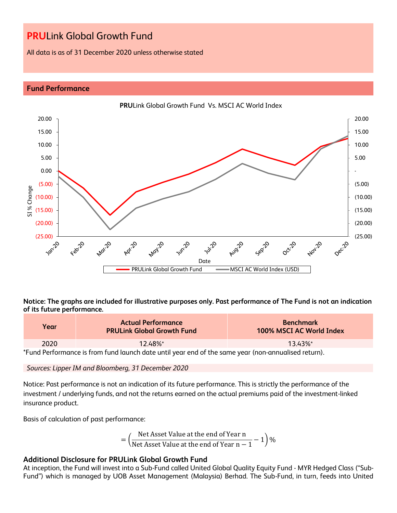All data is as of 31 December 2020 unless otherwise stated

## **Fund Performance**



**Notice: The graphs are included for illustrative purposes only. Past performance of The Fund is not an indication of its future performance.**

| Year | <b>Actual Performance</b><br><b>PRULink Global Growth Fund</b>                                      | <b>Benchmark</b><br>100% MSCI AC World Index |
|------|-----------------------------------------------------------------------------------------------------|----------------------------------------------|
| 2020 | $12.48\%$ *                                                                                         | $1343\%$ *                                   |
|      | *Fund Performance is from fund launch date until year end of the same year (non-annualised return). |                                              |

*Sources: Lipper IM and Bloomberg, 31 December 2020*

Notice: Past performance is not an indication of its future performance. This is strictly the performance of the investment / underlying funds, and not the returns earned on the actual premiums paid of the investment-linked insurance product.

Basis of calculation of past performance:

$$
= \left(\frac{\text{Net Asset Value at the end of Year n}}{\text{Net Asset Value at the end of Year n} - 1}\right)\%
$$

## **Additional Disclosure for PRULink Global Growth Fund**

At inception, the Fund will invest into a Sub-Fund called United Global Quality Equity Fund - MYR Hedged Class ("Sub-Fund") which is managed by UOB Asset Management (Malaysia) Berhad. The Sub-Fund, in turn, feeds into United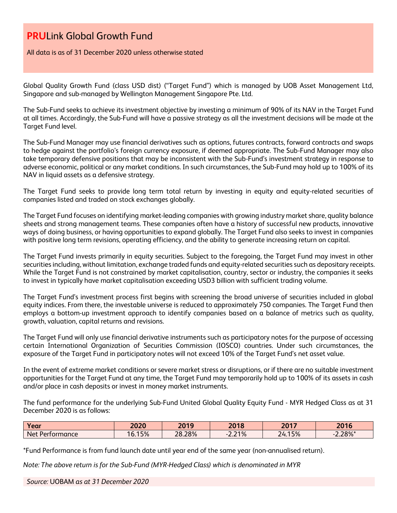All data is as of 31 December 2020 unless otherwise stated

Global Quality Growth Fund (class USD dist) ("Target Fund") which is managed by UOB Asset Management Ltd, Singapore and sub-managed by Wellington Management Singapore Pte. Ltd.

The Sub-Fund seeks to achieve its investment objective by investing a minimum of 90% of its NAV in the Target Fund at all times. Accordingly, the Sub-Fund will have a passive strategy as all the investment decisions will be made at the Target Fund level.

The Sub-Fund Manager may use financial derivatives such as options, futures contracts, forward contracts and swaps to hedge against the portfolio's foreign currency exposure, if deemed appropriate. The Sub-Fund Manager may also take temporary defensive positions that may be inconsistent with the Sub-Fund's investment strategy in response to adverse economic, political or any market conditions. In such circumstances, the Sub-Fund may hold up to 100% of its NAV in liquid assets as a defensive strategy.

The Target Fund seeks to provide long term total return by investing in equity and equity-related securities of companies listed and traded on stock exchanges globally.

The Target Fund focuses on identifying market-leading companies with growing industry market share, quality balance sheets and strong management teams. These companies often have a history of successful new products, innovative ways of doing business, or having opportunities to expand globally. The Target Fund also seeks to invest in companies with positive long term revisions, operating efficiency, and the ability to generate increasing return on capital.

The Target Fund invests primarily in equity securities. Subject to the foregoing, the Target Fund may invest in other securities including, without limitation, exchange traded funds and equity-related securities such as depositary receipts. While the Target Fund is not constrained by market capitalisation, country, sector or industry, the companies it seeks to invest in typically have market capitalisation exceeding USD3 billion with sufficient trading volume.

The Target Fund's investment process first begins with screening the broad universe of securities included in global equity indices. From there, the investable universe is reduced to approximately 750 companies. The Target Fund then employs a bottom-up investment approach to identify companies based on a balance of metrics such as quality, growth, valuation, capital returns and revisions.

The Target Fund will only use financial derivative instruments such as participatory notes for the purpose of accessing certain International Organization of Securities Commission (IOSCO) countries. Under such circumstances, the exposure of the Target Fund in participatory notes will not exceed 10% of the Target Fund's net asset value.

In the event of extreme market conditions or severe market stress or disruptions, or if there are no suitable investment opportunities for the Target Fund at any time, the Target Fund may temporarily hold up to 100% of its assets in cash and/or place in cash deposits or invest in money market instruments.

The fund performance for the underlying Sub-Fund United Global Quality Equity Fund - MYR Hedged Class as at 31 December 2020 is as follows:

| Year            | 2020  | 2019   | 2018  | 2017 | 2016                          |
|-----------------|-------|--------|-------|------|-------------------------------|
| Net Performance | 6.15% | 28.28% | 2.21% | 15%  | $2.200/$ *<br>$2.20\%$<br>- 1 |

\*Fund Performance is from fund launch date until year end of the same year (non-annualised return).

*Note: The above return is for the Sub-Fund (MYR-Hedged Class) which is denominated in MYR*

*Source:* UOBAM *as at 31 December 2020*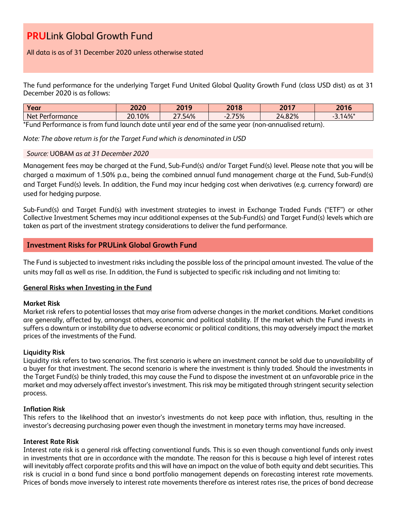All data is as of 31 December 2020 unless otherwise stated

The fund performance for the underlying Target Fund United Global Quality Growth Fund (class USD dist) as at 31 December 2020 is as follows:

| Year                                                                                                    | 2020   | 2019<br>ΔV | 2018  | 2017  | つのっと<br>ZV IV |
|---------------------------------------------------------------------------------------------------------|--------|------------|-------|-------|---------------|
| Net Performance                                                                                         | 20.10% | .54%       | 2.75% | 4.82% | 14%           |
| *E. 4 Deufeure en 15 fuert fined binnels data mathmens en de file e euro i meur (n en annomber duction) |        |            |       |       |               |

\*Fund Performance is from fund launch date until year end of the same year (non-annualised return).

*Note: The above return is for the Target Fund which is denominated in USD*

## *Source:* UOBAM *as at 31 December 2020*

Management fees may be charged at the Fund, Sub-Fund(s) and/or Target Fund(s) level. Please note that you will be charged a maximum of 1.50% p.a., being the combined annual fund management charge at the Fund, Sub-Fund(s) and Target Fund(s) levels. In addition, the Fund may incur hedging cost when derivatives (e.g. currency forward) are used for hedging purpose.

Sub-Fund(s) and Target Fund(s) with investment strategies to invest in Exchange Traded Funds ("ETF") or other Collective Investment Schemes may incur additional expenses at the Sub-Fund(s) and Target Fund(s) levels which are taken as part of the investment strategy considerations to deliver the fund performance.

## **Investment Risks for PRULink Global Growth Fund**

The Fund is subjected to investment risks including the possible loss of the principal amount invested. The value of the units may fall as well as rise. In addition, the Fund is subjected to specific risk including and not limiting to:

## **General Risks when Investing in the Fund**

## **Market Risk**

Market risk refers to potential losses that may arise from adverse changes in the market conditions. Market conditions are generally, affected by, amongst others, economic and political stability. If the market which the Fund invests in suffers a downturn or instability due to adverse economic or political conditions, this may adversely impact the market prices of the investments of the Fund.

## **Liquidity Risk**

Liquidity risk refers to two scenarios. The first scenario is where an investment cannot be sold due to unavailability of a buyer for that investment. The second scenario is where the investment is thinly traded. Should the investments in the Target Fund(s) be thinly traded, this may cause the Fund to dispose the investment at an unfavorable price in the market and may adversely affect investor's investment. This risk may be mitigated through stringent security selection process.

## **Inflation Risk**

This refers to the likelihood that an investor's investments do not keep pace with inflation, thus, resulting in the investor's decreasing purchasing power even though the investment in monetary terms may have increased.

## **Interest Rate Risk**

Interest rate risk is a general risk affecting conventional funds. This is so even though conventional funds only invest in investments that are in accordance with the mandate. The reason for this is because a high level of interest rates will inevitably affect corporate profits and this will have an impact on the value of both equity and debt securities. This risk is crucial in a bond fund since a bond portfolio management depends on forecasting interest rate movements. Prices of bonds move inversely to interest rate movements therefore as interest rates rise, the prices of bond decrease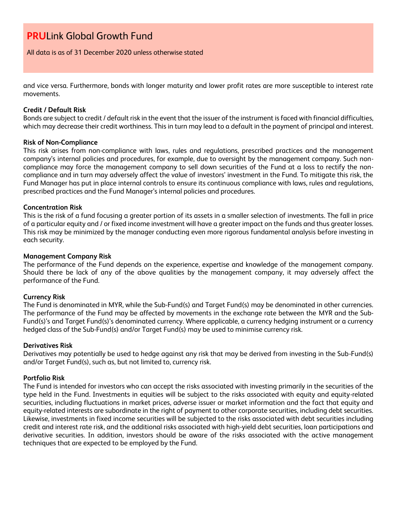All data is as of 31 December 2020 unless otherwise stated

and vice versa. Furthermore, bonds with longer maturity and lower profit rates are more susceptible to interest rate movements.

#### **Credit / Default Risk**

Bonds are subject to credit / default risk in the event that the issuer of the instrument is faced with financial difficulties, which may decrease their credit worthiness. This in turn may lead to a default in the payment of principal and interest.

#### **Risk of Non-Compliance**

This risk arises from non-compliance with laws, rules and regulations, prescribed practices and the management company's internal policies and procedures, for example, due to oversight by the management company. Such noncompliance may force the management company to sell down securities of the Fund at a loss to rectify the noncompliance and in turn may adversely affect the value of investors' investment in the Fund. To mitigate this risk, the Fund Manager has put in place internal controls to ensure its continuous compliance with laws, rules and regulations, prescribed practices and the Fund Manager's internal policies and procedures.

#### **Concentration Risk**

This is the risk of a fund focusing a greater portion of its assets in a smaller selection of investments. The fall in price of a particular equity and / or fixed income investment will have a greater impact on the funds and thus greater losses. This risk may be minimized by the manager conducting even more rigorous fundamental analysis before investing in each security.

#### **Management Company Risk**

The performance of the Fund depends on the experience, expertise and knowledge of the management company. Should there be lack of any of the above qualities by the management company, it may adversely affect the performance of the Fund.

#### **Currency Risk**

The Fund is denominated in MYR, while the Sub-Fund(s) and Target Fund(s) may be denominated in other currencies. The performance of the Fund may be affected by movements in the exchange rate between the MYR and the Sub-Fund(s)'s and Target Fund(s)'s denominated currency. Where applicable, a currency hedging instrument or a currency hedged class of the Sub-Fund(s) and/or Target Fund(s) may be used to minimise currency risk.

#### **Derivatives Risk**

Derivatives may potentially be used to hedge against any risk that may be derived from investing in the Sub-Fund(s) and/or Target Fund(s), such as, but not limited to, currency risk.

#### **Portfolio Risk**

The Fund is intended for investors who can accept the risks associated with investing primarily in the securities of the type held in the Fund. Investments in equities will be subject to the risks associated with equity and equity-related securities, including fluctuations in market prices, adverse issuer or market information and the fact that equity and equity-related interests are subordinate in the right of payment to other corporate securities, including debt securities. Likewise, investments in fixed income securities will be subjected to the risks associated with debt securities including credit and interest rate risk, and the additional risks associated with high-yield debt securities, loan participations and derivative securities. In addition, investors should be aware of the risks associated with the active management techniques that are expected to be employed by the Fund.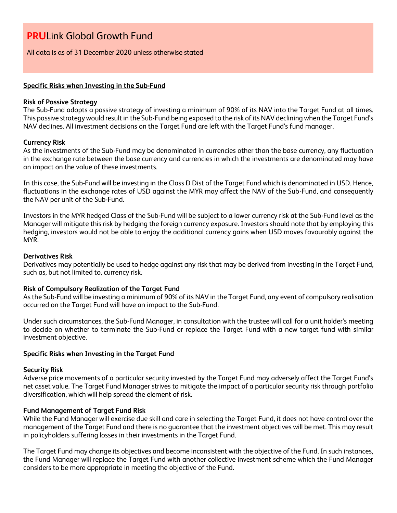All data is as of 31 December 2020 unless otherwise stated

## **Specific Risks when Investing in the Sub-Fund**

#### **Risk of Passive Strategy**

The Sub-Fund adopts a passive strategy of investing a minimum of 90% of its NAV into the Target Fund at all times. This passive strategy would result in the Sub-Fund being exposed to the risk of its NAV declining when the Target Fund's NAV declines. All investment decisions on the Target Fund are left with the Target Fund's fund manager.

## **Currency Risk**

As the investments of the Sub-Fund may be denominated in currencies other than the base currency, any fluctuation in the exchange rate between the base currency and currencies in which the investments are denominated may have an impact on the value of these investments.

In this case, the Sub-Fund will be investing in the Class D Dist of the Target Fund which is denominated in USD. Hence, fluctuations in the exchange rates of USD against the MYR may affect the NAV of the Sub-Fund, and consequently the NAV per unit of the Sub-Fund.

Investors in the MYR hedged Class of the Sub-Fund will be subject to a lower currency risk at the Sub-Fund level as the Manager will mitigate this risk by hedging the foreign currency exposure. Investors should note that by employing this hedging, investors would not be able to enjoy the additional currency gains when USD moves favourably against the MYR.

## **Derivatives Risk**

Derivatives may potentially be used to hedge against any risk that may be derived from investing in the Target Fund, such as, but not limited to, currency risk.

## **Risk of Compulsory Realization of the Target Fund**

As the Sub-Fund will be investing a minimum of 90% of its NAV in the Target Fund, any event of compulsory realisation occurred on the Target Fund will have an impact to the Sub-Fund.

Under such circumstances, the Sub-Fund Manager, in consultation with the trustee will call for a unit holder's meeting to decide on whether to terminate the Sub-Fund or replace the Target Fund with a new target fund with similar investment objective.

## **Specific Risks when Investing in the Target Fund**

#### **Security Risk**

Adverse price movements of a particular security invested by the Target Fund may adversely affect the Target Fund's net asset value. The Target Fund Manager strives to mitigate the impact of a particular security risk through portfolio diversification, which will help spread the element of risk.

## **Fund Management of Target Fund Risk**

While the Fund Manager will exercise due skill and care in selecting the Target Fund, it does not have control over the management of the Target Fund and there is no guarantee that the investment objectives will be met. This may result in policyholders suffering losses in their investments in the Target Fund.

The Target Fund may change its objectives and become inconsistent with the objective of the Fund. In such instances, the Fund Manager will replace the Target Fund with another collective investment scheme which the Fund Manager considers to be more appropriate in meeting the objective of the Fund.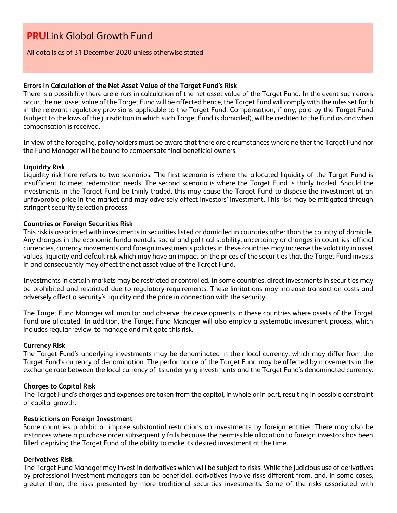All data is as of 31 December 2020 unless otherwise stated

#### **Errors in Calculation of the Net Asset Value of the Target Fund's Risk**

There is a possibility there are errors in calculation of the net asset value of the Target Fund. In the event such errors occur, the net asset value of the Target Fund will be affected hence, the Target Fund will comply with the rules set forth in the relevant regulatory provisions applicable to the Target Fund. Compensation, if any, paid by the Target Fund (subject to the laws of the jurisdiction in which such Target Fund is domiciled), will be credited to the Fund as and when compensation is received.

In view of the foregoing, policyholders must be aware that there are circumstances where neither the Target Fund nor the Fund Manager will be bound to compensate final beneficial owners.

#### **Liquidity Risk**

Liquidity risk here refers to two scenarios. The first scenario is where the allocated liquidity of the Target Fund is insufficient to meet redemption needs. The second scenario is where the Target Fund is thinly traded. Should the investments in the Target Fund be thinly traded, this may cause the Target Fund to dispose the investment at an unfavorable price in the market and may adversely affect investors' investment. This risk may be mitigated through stringent security selection process.

#### **Countries or Foreign Securities Risk**

This risk is associated with investments in securities listed or domiciled in countries other than the country of domicile. Any changes in the economic fundamentals, social and political stability, uncertainty or changes in countries' official currencies, currency movements and foreign investments policies in these countries may increase the volatility in asset values, liquidity and default risk which may have an impact on the prices of the securities that the Target Fund invests in and consequently may affect the net asset value of the Target Fund.

Investments in certain markets may be restricted or controlled. In some countries, direct investments in securities may be prohibited and restricted due to regulatory requirements. These limitations may increase transaction costs and adversely affect a security's liquidity and the price in connection with the security.

The Target Fund Manager will monitor and observe the developments in these countries where assets of the Target Fund are allocated. In addition, the Target Fund Manager will also employ a systematic investment process, which includes regular review, to manage and mitigate this risk.

#### **Currency Risk**

The Target Fund's underlying investments may be denominated in their local currency, which may differ from the Target Fund's currency of denomination. The performance of the Target Fund may be affected by movements in the exchange rate between the local currency of its underlying investments and the Target Fund's denominated currency.

#### **Charges to Capital Risk**

The Target Fund's charges and expenses are taken from the capital, in whole or in part, resulting in possible constraint of capital growth.

#### **Restrictions on Foreign Investment**

Some countries prohibit or impose substantial restrictions on investments by foreign entities. There may also be instances where a purchase order subsequently fails because the permissible allocation to foreign investors has been filled, depriving the Target Fund of the ability to make its desired investment at the time.

## **Derivatives Risk**

The Target Fund Manager may invest in derivatives which will be subject to risks. While the judicious use of derivatives by professional investment managers can be beneficial, derivatives involve risks different from, and, in some cases, greater than, the risks presented by more traditional securities investments. Some of the risks associated with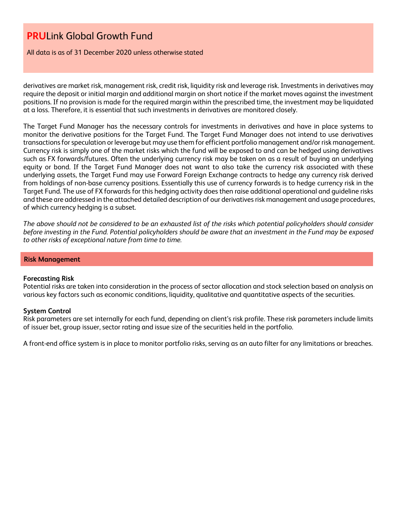All data is as of 31 December 2020 unless otherwise stated

derivatives are market risk, management risk, credit risk, liquidity risk and leverage risk. Investments in derivatives may require the deposit or initial margin and additional margin on short notice if the market moves against the investment positions. If no provision is made for the required margin within the prescribed time, the investment may be liquidated at a loss. Therefore, it is essential that such investments in derivatives are monitored closely.

The Target Fund Manager has the necessary controls for investments in derivatives and have in place systems to monitor the derivative positions for the Target Fund. The Target Fund Manager does not intend to use derivatives transactions for speculation or leverage but may use them for efficient portfolio management and/or risk management. Currency risk is simply one of the market risks which the fund will be exposed to and can be hedged using derivatives such as FX forwards/futures. Often the underlying currency risk may be taken on as a result of buying an underlying equity or bond. If the Target Fund Manager does not want to also take the currency risk associated with these underlying assets, the Target Fund may use Forward Foreign Exchange contracts to hedge any currency risk derived from holdings of non-base currency positions. Essentially this use of currency forwards is to hedge currency risk in the Target Fund. The use of FX forwards for this hedging activity does then raise additional operational and guideline risks and these are addressed in the attached detailed description of our derivatives risk management and usage procedures, of which currency hedging is a subset.

*The above should not be considered to be an exhausted list of the risks which potential policyholders should consider before investing in the Fund. Potential policyholders should be aware that an investment in the Fund may be exposed to other risks of exceptional nature from time to time.*

#### **Risk Management**

#### **Forecasting Risk**

Potential risks are taken into consideration in the process of sector allocation and stock selection based on analysis on various key factors such as economic conditions, liquidity, qualitative and quantitative aspects of the securities.

#### **System Control**

Risk parameters are set internally for each fund, depending on client's risk profile. These risk parameters include limits of issuer bet, group issuer, sector rating and issue size of the securities held in the portfolio.

A front-end office system is in place to monitor portfolio risks, serving as an auto filter for any limitations or breaches.